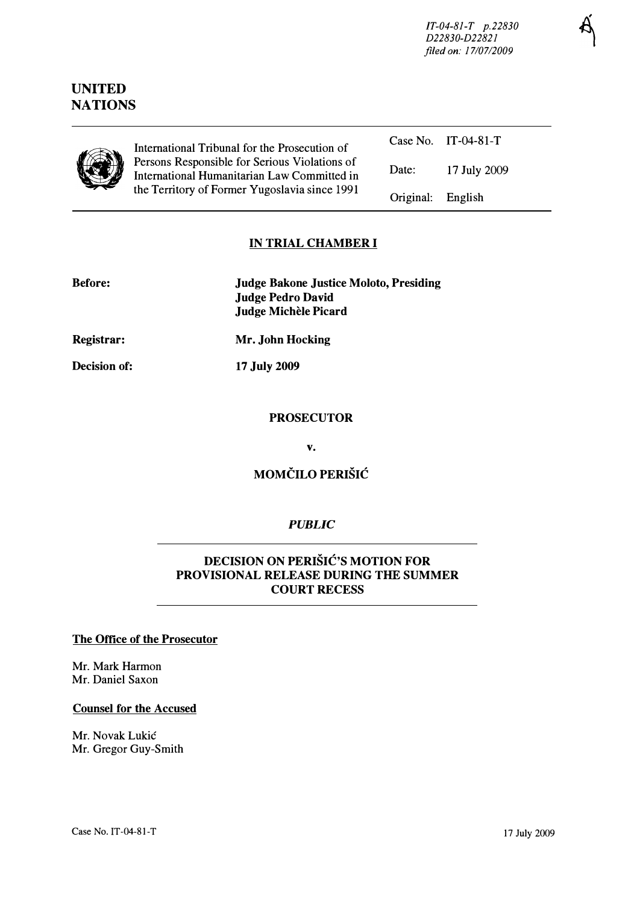JT-04-8J-T p.22830 D22830-D22821 filed on: 17/07/2009

English

# UNITED **NATIONS**



Case No. IT-04-81-T International Tribunal for the Prosecution of Persons Responsible for Serious Violations of International Humanitarian Law Committed in the Territory of Former Yugoslavia since 1991 Date: 17 July 2009 Original:

## IN TRIAL CHAMBER I

| <b>Before:</b> | <b>Judge Bakone Justice Moloto, Presiding</b> |
|----------------|-----------------------------------------------|
|                | <b>Judge Pedro David</b>                      |
|                | Judge Michèle Picard                          |

Registrar:

Decision of:

17 July 2009

Mr. John Hocking

#### PROSECUTOR

v.

## MOMCILO PERISIC

### PUBLIC

## DECISION ON PERISIC'S MOTION FOR PROVISIONAL RELEASE DURING THE SUMMER COURT RECESS

#### The Office of the Prosecutor

Mr. Mark Harmon Mr. Daniel Saxon

#### Counsel for the Accused

Mr. Novak Lukic Mr. Gregor Guy-Smith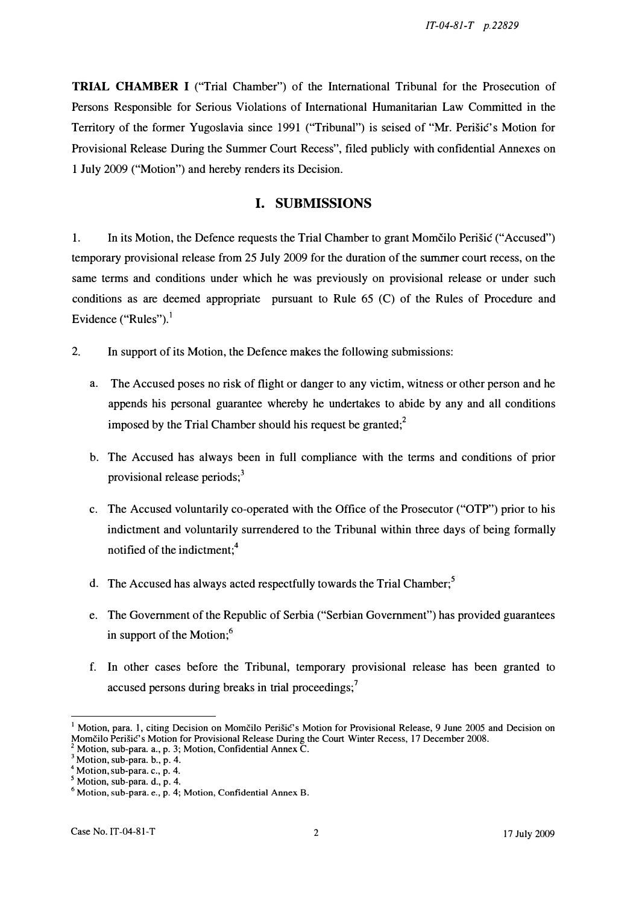TRIAL CHAMBER I ("Trial Chamber") of the International Tribunal for the Prosecution of Persons Responsible for Serious Violations of International Humanitarian Law Committed in the Territory of the former Yugoslavia since 1991 ("Tribunal") is seised of "Mr. Perišic's Motion for Provisional Release During the Summer Court Recess", filed publicly with confidential Annexes on 1 July 2009 ("Motion") and hereby renders its Decision.

### I. SUBMISSIONS

1. In its Motion, the Defence requests the Trial Chamber to grant Momčilo Perišic ("Accused") temporary provisional release from 25 July 2009 for the duration of the summer court recess, on the same terms and conditions under which he was previously on provisional release or under such conditions as are deemed appropriate pursuant to Rule 65 (C) of the Rules of Procedure and Evidence ("Rules"). $<sup>1</sup>$ </sup>

- 2. In support of its Motion, the Defence makes the following submissions:
	- a. The Accused poses no risk of flight or danger to any victim, witness or other person and he appends his personal guarantee whereby he undertakes to abide by any and all conditions imposed by the Trial Chamber should his request be granted; $2^2$
	- b. The Accused has always been in full compliance with the terms and conditions of prior provisional release periods;<sup>3</sup>
	- c. The Accused voluntarily co-operated with the Office of the Prosecutor ("OTP") prior to his indictment and voluntarily surrendered to the Tribunal within three days of being formally notified of the indictment;<sup>4</sup>
	- d. The Accused has always acted respectfully towards the Trial Chamber;<sup>5</sup>
	- e. The Government of the Republic of Serbia ("Serbian Government") has provided guarantees in support of the Motion; $<sup>6</sup>$ </sup>
	- f. In other cases before the Tribunal, temporary provisional release has been granted to accused persons during breaks in trial proceedings;<sup>7</sup>

<sup>&</sup>lt;sup>1</sup> Motion, para. 1, citing Decision on Momčilo Perišić's Motion for Provisional Release, 9 June 2005 and Decision on Momčilo Perišić's Motion for Provisional Release During the Court Winter Recess, 17 December 2008.

<sup>&</sup>lt;sup>2</sup> Motion, sub-para. a., p. 3; Motion, Confidential Annex C.

 $3$  Motion, sub-para. b., p. 4.

<sup>&</sup>lt;sup>4</sup> Motion, sub-para. c., p. 4.

 $<sup>5</sup>$  Motion, sub-para. d., p. 4.</sup>

 $<sup>6</sup>$  Motion, sub-para. e., p. 4; Motion, Confidential Annex B.</sup>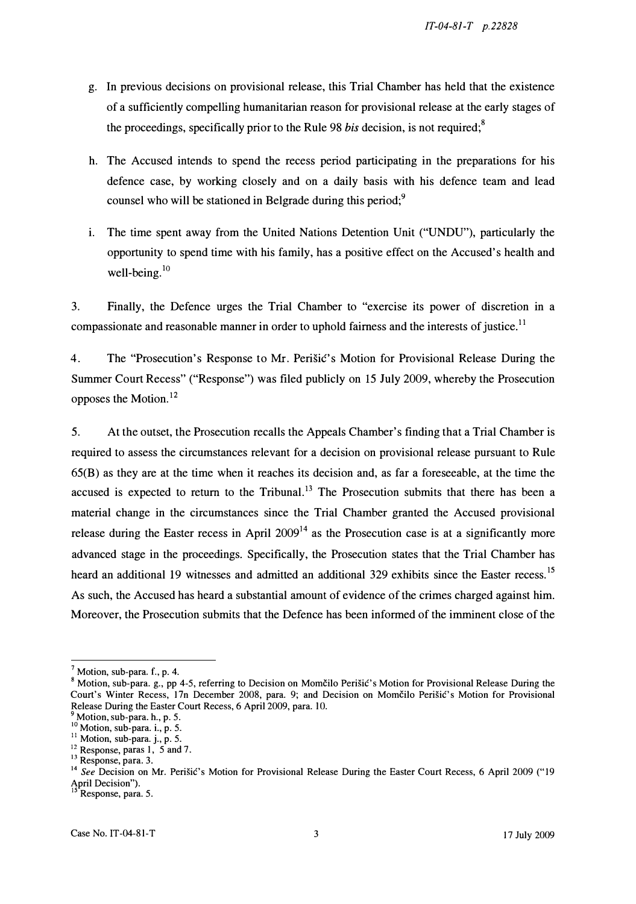- g. In previous decisions on provisional release, this Trial Chamber has held that the existence of a sufficiently compelling humanitarian reason for provisional release at the early stages of the proceedings, specifically prior to the Rule 98 *bis* decision, is not required;<sup>8</sup>
- h. The Accused intends to spend the recess period participating in the preparations for his defence case, by working closely and on a daily basis with his defence team and lead counsel who will be stationed in Belgrade during this period;<sup>9</sup>
- i. The time spent away from the United Nations Detention Unit ("UNDU"), particularly the opportunity to spend time with his family, has a positive effect on the Accused's health and well-being. $10$

3. Finally, the Defence urges the Trial Chamber to "exercise its power of discretion in a compassionate and reasonable manner in order to uphold fairness and the interests of justice.<sup>11</sup>

4. The "Prosecution's Response to Mr. Perisic's Motion for Provisional Release During the Summer Court Recess" ("Response") was filed publicly on 15 July 2009, whereby the Prosecution opposes the Motion.<sup>12</sup>

5. At the outset, the Prosecution recalls the Appeals Chamber's finding that a Trial Chamber is required to assess the circumstances relevant for a decision on provisional release pursuant to Rule 65(B) as they are at the time when it reaches its decision and, as far a foreseeable, at the time the accused is expected to return to the Tribunal.<sup>13</sup> The Prosecution submits that there has been a material change in the circumstances since the Trial Chamber granted the Accused provisional release during the Easter recess in April  $2009<sup>14</sup>$  as the Prosecution case is at a significantly more advanced stage in the proceedings. Specifically, the Prosecution states that the Trial Chamber has heard an additional 19 witnesses and admitted an additional 329 exhibits since the Easter recess.<sup>15</sup> As such, the Accused has heard a substantial amount of evidence of the crimes charged against him. Moreover, the Prosecution submits that the Defence has been informed of the imminent close of the

 $<sup>7</sup>$  Motion, sub-para. f., p. 4.</sup>

<sup>8</sup> Motion, sub-para. g., pp 4-5, referring to Decision on Momčilo Perišić's Motion for Provisional Release During the Court's Winter Recess, 17n December 2008, para. 9; and Decision on Momčilo Perišić's Motion for Provisional Release During the Easter Court Recess, 6 April 2009, para. lO.

 $\gamma$  Motion, sub-para. h., p. 5.

 $\cdot$  Motion, sub-para. i., p. 5.

 $11$  Motion, sub-para. j., p. 5.

 $12$  Response, paras 1, 5 and 7.

<sup>&</sup>lt;sup>13</sup> Response, para. 3.

<sup>&</sup>lt;sup>14</sup> See Decision on Mr. Perišić's Motion for Provisional Release During the Easter Court Recess, 6 April 2009 ("19  $\frac{2}{15}$  Decision").

Response, para. 5.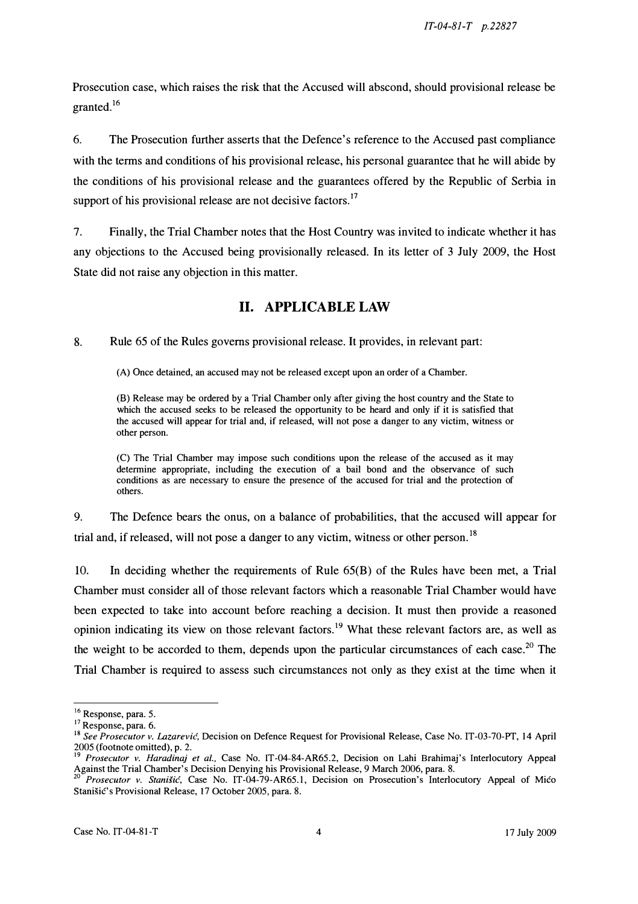Prosecution case, which raises the risk that the Accused will abscond, should provisional release be granted.<sup>16</sup>

6. The Prosecution further asserts that the Defence's reference to the Accused past compliance with the terms and conditions of his provisional release, his personal guarantee that he will abide by the conditions of his provisional release and the guarantees offered by the Republic of Serbia in support of his provisional release are not decisive factors.<sup>17</sup>

7. Finally, the Trial Chamber notes that the Host Country was invited to indicate whether it has any objections to the Accused being provisionally released. In its letter of 3 July 2009, the Host State did not raise any objection in this matter.

# II. APPLICABLE LAW

8. Rule 65 of the Rules governs provisional release. It provides, in relevant part:

(A) Once detained, an accused may not be released except upon an order of a Chamber.

(B) Release may be ordered by a Trial Chamber only after giving the host country and the State to which the accused seeks to be released the opportunity to be heard and only if it is satisfied that the accused will appear for trial and, if released, will not pose a danger to any victim, witness or other person.

(C) The Trial Chamber may impose such conditions upon the release of the accused as it may determine appropriate, including the execution of a bail bond and the observance of such conditions as are necessary to ensure the presence of the accused for trial and the protection of others.

9. The Defence bears the onus, on a balance of probabilities, that the accused will appear for trial and, if released, will not pose a danger to any victim, witness or other person.<sup>18</sup>

10. In deciding whether the requirements of Rule 65(B) of the Rules have been met, a Trial Chamber must consider all of those relevant factors which a reasonable Trial Chamber would have been expected to take into account before reaching a decision. It must then provide a reasoned opinion indicating its view on those relevant factors.<sup>19</sup> What these relevant factors are, as well as the weight to be accorded to them, depends upon the particular circumstances of each case.<sup>20</sup> The Trial Chamber is required to assess such circumstances not only as they exist at the time when it

<sup>&</sup>lt;sup>16</sup> Response, para. 5.

<sup>&</sup>lt;sup>17</sup> Response, para. 6.

<sup>&</sup>lt;sup>18</sup> See Prosecutor v. Lazarević, Decision on Defence Request for Provisional Release, Case No. IT-03-70-PT, 14 April 2005 (footnote omitted), p. 2.

<sup>&</sup>lt;sup>9</sup> Prosecutor v. Haradinaj et al., Case No. IT-04-84-AR65.2, Decision on Lahi Brahimaj's Interlocutory Appeal Against the Trial Chamber's Decision Denying his Provisional Release, 9 March 2006, para. 8.

Prosecutor v. Stanišić, Case No. IT-04-79-AR65.1, Decision on Prosecution's Interlocutory Appeal of Mico Stanišić's Provisional Release, 17 October 2005, para. 8.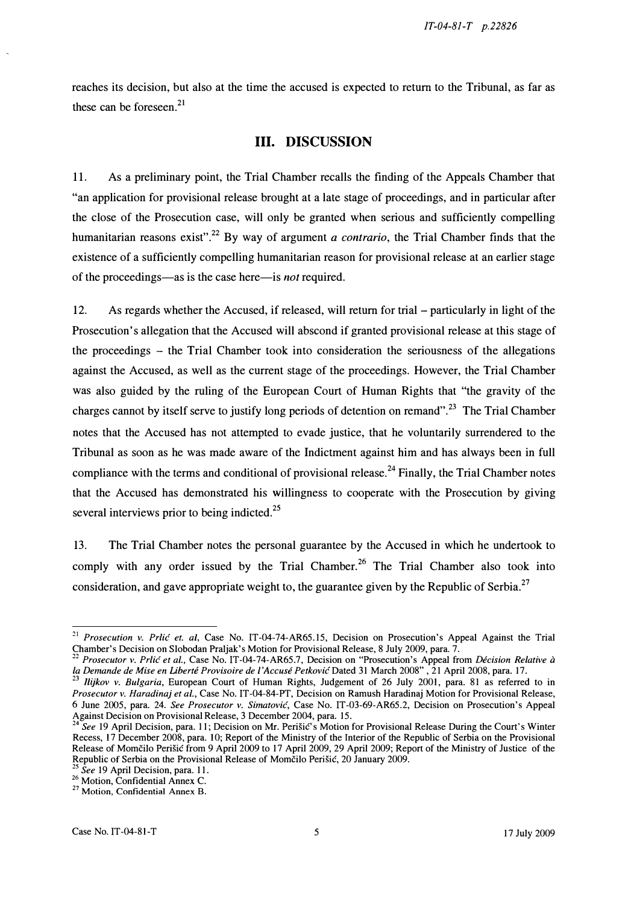reaches its decision, but also at the time the accused is expected to return to the Tribunal, as far as these can be foreseen. $^{21}$ 

## III. DISCUSSION

11. As a preliminary point, the Trial Chamber recalls the finding of the Appeals Chamber that "an application for provisional release brought at a late stage of proceedings, and in particular after the close of the Prosecution case, will only be granted when serious and sufficiently compelling humanitarian reasons exist".<sup>22</sup> By way of argument a contrario, the Trial Chamber finds that the existence of a sufficiently compelling humanitarian reason for provisional release at an earlier stage of the proceedings—as is the case here—is *not* required.

12. As regards whether the Accused, if released, will return for trial - particularly in light of the Prosecution's allegation that the Accused will abscond if granted provisional release at this stage of the proceedings - the Trial Chamber took into consideration the seriousness of the allegations against the Accused, as well as the current stage of the proceedings. However, the Trial Chamber was also guided by the ruling of the European Court of Human Rights that "the gravity of the charges cannot by itself serve to justify long periods of detention on remand".<sup>23</sup> The Trial Chamber notes that the Accused has not attempted to evade justice, that he voluntarily surrendered to the Tribunal as soon as he was made aware of the Indictment against him and has always been in full compliance with the terms and conditional of provisional release.<sup>24</sup> Finally, the Trial Chamber notes that the Accused has demonstrated his Willingness to cooperate with the Prosecution by giving several interviews prior to being indicted.<sup>25</sup>

13. The Trial Chamber notes the personal guarantee by the Accused in which he undertook to comply with any order issued by the Trial Chamber.<sup>26</sup> The Trial Chamber also took into consideration, and gave appropriate weight to, the guarantee given by the Republic of Serbia.<sup>27</sup>

<sup>&</sup>lt;sup>21</sup> Prosecution v. Prlić et. al, Case No. IT-04-74-AR65.15, Decision on Prosecution's Appeal Against the Trial Chamber's Decision on Slobodan Praljak's Motion for Provisional Release, 8 July 2009, para. 7.

Prosecutor v. Prlić et al., Case No. IT-04-74-AR65.7, Decision on "Prosecution's Appeal from Décision Relative à la Demande de Mise en Liberté Provisoire de l'Accusé Petković Dated 31 March 2008" , 21 April 2008, para. 17.

<sup>&</sup>lt;sup>23</sup> *Ilykov v. Bulgaria*, European Court of Human Rights, Judgement of 26 July 2001, para. 81 as referred to in Prosecutor v. Haradinaj et al., Case No. IT-04-84-PT, Decision on Ramush Haradinaj Motion for Provisional Release, 6 June 2005, para. 24. See Prosecutor v. Simatovic, Case No. IT-03-69-AR65.2, Decision on Prosecution's Appeal Against Decision on Provisional Release, 3 December 2004, para. 15.

See 19 April Decision, para. 11; Decision on Mr. Perišic's Motion for Provisional Release During the Court's Winter Recess, 17 December 2008, para. 10; Report of the Ministry of the Interior of the Republic of Serbia on the Provisional Release of Momcilo Perisic from 9 April 2009 to 17 April 2009, 29 April 2009; Report of the Ministry of Justice of the Republic of Serbia on the Provisional Release of Momcilo Perisic, 20 January 2009.

<sup>&</sup>lt;sup>25</sup> See 19 April Decision, para. 11.

<sup>&</sup>lt;sup>26</sup> Motion, Confidential Annex C.

<sup>&</sup>lt;sup>27</sup> Motion, Confidential Annex B.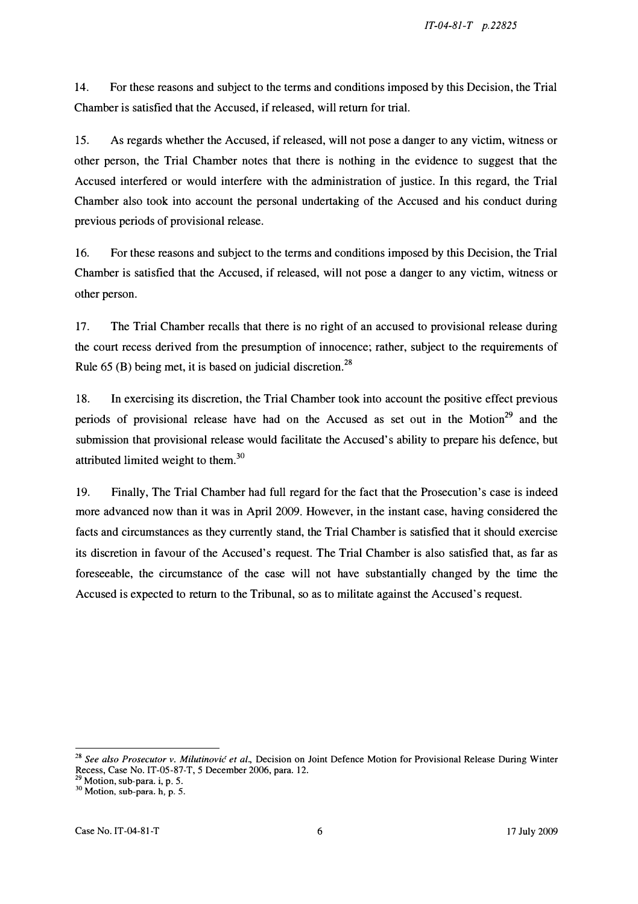14. For these reasons and subject to the terms and conditions imposed by this Decision, the Trial Chamber is satisfied that the Accused, if released, will return for trial.

15. As regards whether the Accused, if released, will not pose a danger to any victim, witness or other person, the Trial Chamber notes that there is nothing in the evidence to suggest that the Accused interfered or would interfere with the administration of justice. In this regard, the Trial Chamber also took into account the personal undertaking of the Accused and his conduct during previous periods of provisional release.

16. For these reasons and subject to the terms and conditions imposed by this Decision, the Trial Chamber is satisfied that the Accused, if released, will not pose a danger to any victim, witness or other person.

17. The Trial Chamber recalls that there is no right of an accused to provisional release during the court recess derived from the presumption of innocence; rather, subject to the requirements of Rule 65 (B) being met, it is based on judicial discretion.<sup>28</sup>

18. In exercising its discretion, the Trial Chamber took into account the positive effect previous periods of provisional release have had on the Accused as set out in the Motion<sup>29</sup> and the submission that provisional release would facilitate the Accused's ability to prepare his defence, but attributed limited weight to them. $30$ 

19. Finally, The Trial Chamber had full regard for the fact that the Prosecution's case is indeed more advanced now than it was in April 2009. However, in the instant case, having considered the facts and circumstances as they currently stand, the Trial Chamber is satisfied that it should exercise its discretion in favour of the Accused's request. The Trial Chamber is also satisfied that, as far as foreseeable, the circumstance of the case will not have substantially changed by the time the Accused is expected to return to the Tribunal, so as to militate against the Accused's request.

<sup>28</sup> See also Prosecutor v. Milutinović et al., Decision on Joint Defence Motion for Provisional Release During Winter Recess, Case No. IT -05-87 -T, 5 December 2006, para. 12.

<sup>&</sup>lt;sup>29</sup> Motion, sub-para. i, p. 5.

<sup>&</sup>lt;sup>30</sup> Motion, sub-para. h, p. 5.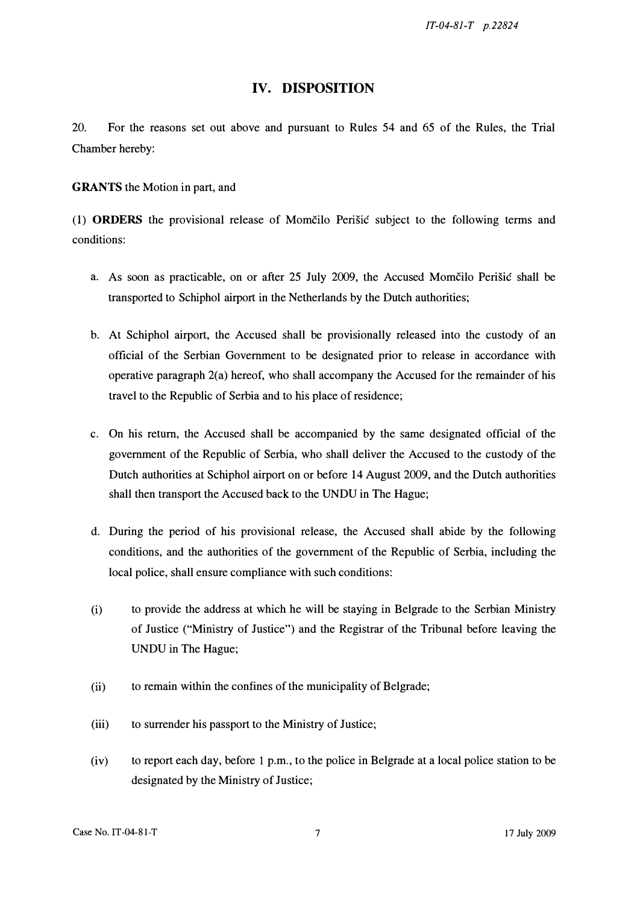IT-04-8J-T p.22824

#### IV. DISPOSITION

20. For the reasons set out above and pursuant to Rules 54 and 65 of the Rules, the Trial Chamber hereby:

**GRANTS** the Motion in part, and

(1) ORDERS the provisional release of Momčilo Perišić subject to the following terms and conditions:

- a. As soon as practicable, on or after 25 July 2009, the Accused Momčilo Perišić shall be transported to Schiphol airport in the Netherlands by the Dutch authorities;
- b. At Schiphol airport, the Accused shall be provisionally released into the custody of an official of the Serbian Government to be designated prior to release in accordance with operative paragraph 2(a) hereof, who shall accompany the Accused for the remainder of his travel to the Republic of Serbia and to his place of residence;
- c. On his return, the Accused shall be accompanied by the same designated official of the government of the Republic of Serbia, who shall deliver the Accused to the custody of the Dutch authorities at Schiphol airport on or before 14 August 2009, and the Dutch authorities shall then transport the Accused back to the UNDU in The Hague;
- d. During the period of his provisional release, the Accused shall abide by the following conditions, and the authorities of the government of the Republic of Serbia, induding the local police, shall ensure compliance with such conditions:
- (i) to provide the address at which he will be staying in Belgrade to the Serbian Ministry of Justice ("Ministry of Justice") and the Registrar of the Tribunal before leaving the UNDU in The Hague;
- (ii) to remain within the confines of the municipality of Belgrade;
- (iii) to surrender his passport to the Ministry of Justice;
- (iv) to report each day, before 1 p.m., to the police in Belgrade at a local police station to be designated by the Ministry of Justice;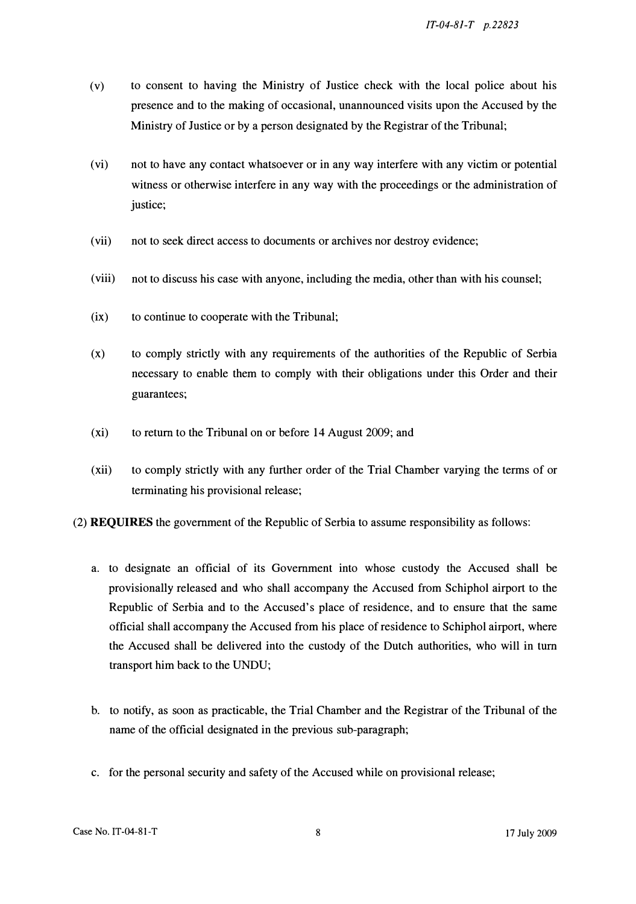- (v) to consent to having the Ministry of Justice check with the local police about his presence and to the making of occasional, unannounced visits upon the Accused by the Ministry of Justice or by a person designated by the Registrar of the Tribunal;
- (vi) not to have any contact whatsoever or in any way interfere with any victim or potential witness or otherwise interfere in any way with the proceedings or the administration of justice;
- (vii) not to seek direct access to documents or archives nor destroy evidence;
- (viii) not to discuss his case with anyone, including the media, other than with his counsel;
- (ix) to continue to cooperate with the Tribunal;
- (x) to comply strictly with any requirements of the authorities of the Republic of Serbia necessary to enable them to comply with their obligations under this Order and their guarantees;
- (xi) to return to the Tribunal on or before 14 August 2009; and
- (xii) to comply strictly with any further order of the Trial Chamber varying the terms of or terminating his provisional release;
- (2) REQUIRES the government of the Republic of Serbia to assume responsibility as follows:
	- a. to designate an official of its Government into whose custody the Accused shall be provisionally released and who shall accompany the Accused from Schiphol airport to the Republic of Serbia and to the Accused's place of residence, and to ensure that the same official shall accompany the Accused from his place of residence to Schiphol airport, where the Accused shall be delivered into the custody of the Dutch authorities, who will in tum transport him back to the UNDU;
	- b. to notify, as soon as practicable, the Trial Chamber and the Registrar of the Tribunal of the name of the official designated in the previous sub-paragraph;
	- c. for the personal security and safety of the Accused while on provisional release;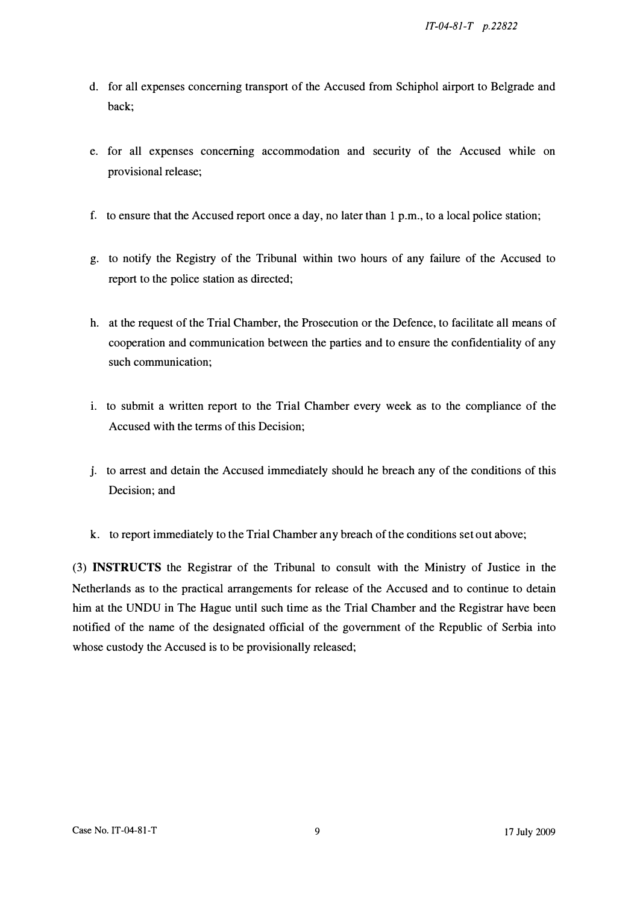- d. for all expenses concerning transport of the Accused from Schiphol airport to Belgrade and back;
- e. for all expenses concerning accommodation and security of the Accused while on provisional release;
- f. to ensure that the Accused report once a day, no later than 1 p.m., to a local police station;
- g. to notify the Registry of the Tribunal within two hours of any failure of the Accused to report to the police station as directed;
- h. at the request of the Trial Chamber, the Prosecution or the Defence, to facilitate all means of cooperation and communication between the parties and to ensure the confidentiality of any such communication;
- i. to submit a written report to the Trial Chamber every week as to the compliance of the Accused with the terms of this Decision;
- J. to arrest and detain the Accused immediately should he breach any of the conditions of this Decision; and
- k. to report immediately to the Trial Chamber any breach of the conditions set out above;

(3) INSTRUCTS the Registrar of the Tribunal to consult with the Ministry of Justice in the Netherlands as to the practical arrangements for release of the Accused and to continue to detain him at the UNDU in The Hague until such time as the Trial Chamber and the Registrar have been notified of the name of the designated official of the government of the Republic of Serbia into whose custody the Accused is to be provisionally released;